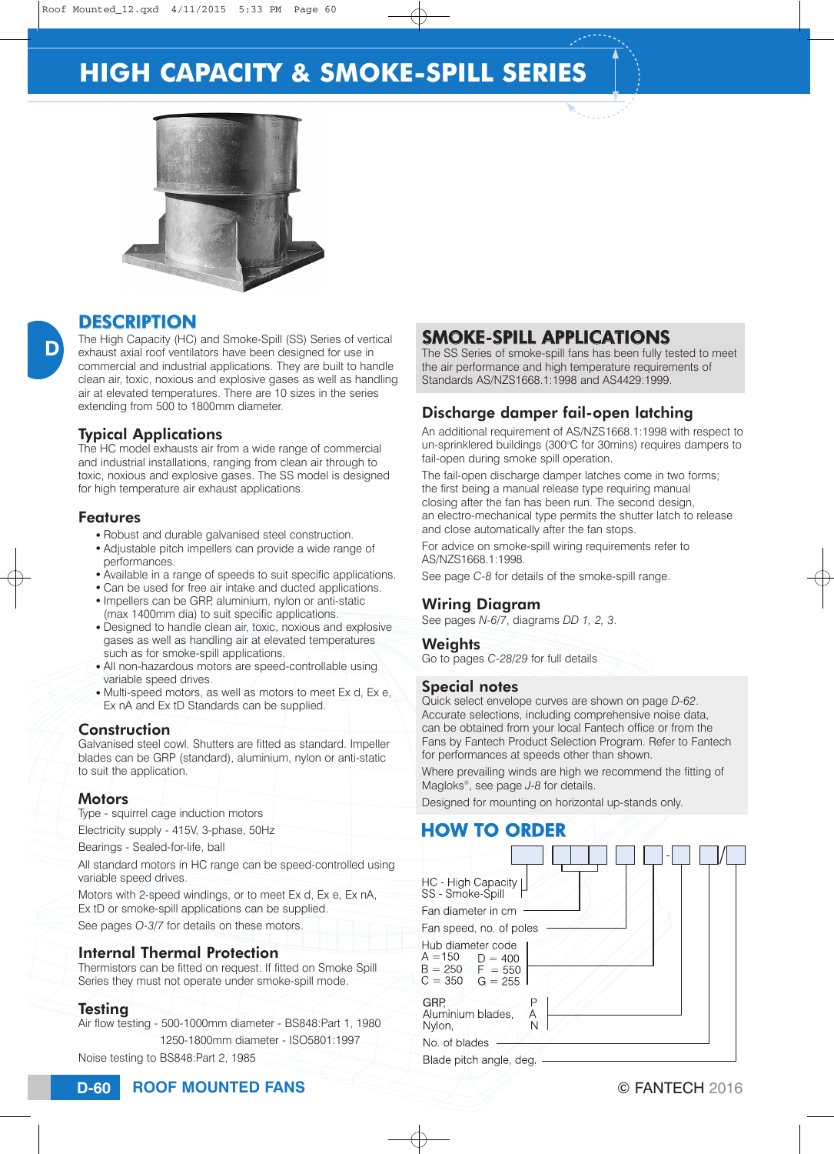# **HIGH CAPACITY & SMOKE-SPILL SERIES**



## **DESCRIPTION**

The High Capacity (HC) and Smoke-Spill (SS) Series of vertical exhaust axial roof ventilators have been designed for use in commercial and industrial applications. They are built to handle clean air, toxic, noxious and explosive gases as well as handling air at elevated temperatures. There are 10 sizes in the series extending from 500 to 1800mm diameter.

#### Typical Applications

The HC model exhausts air from a wide range of commercial and industrial installations, ranging from clean air through to toxic, noxious and explosive gases. The SS model is designed for high temperature air exhaust applications.

#### **Features**

D

- Robust and durable galvanised steel construction.
- Adjustable pitch impellers can provide a wide range of performances.
- Available in a range of speeds to suit specific applications.
- Can be used for free air intake and ducted applications.
- Impellers can be GRP, aluminium, nylon or anti-static (max 1400mm dia) to suit specific applications.
- Designed to handle clean air, toxic, noxious and explosive gases as well as handling air at elevated temperatures such as for smoke-spill applications.
- All non-hazardous motors are speed-controllable using variable speed drives.
- $\bullet$  Multi-speed motors, as well as motors to meet Ex d, Ex e. Ex nA and Ex tD Standards can be supplied.

#### **Construction**

Galvanised steel cowl. Shutters are fitted as standard. Impeller blades can be GRP (standard), aluminium, nylon or anti-static to suit the application.

#### **Motors**

Type - squirrel cage induction motors

Electricity supply - 415V, 3-phase, 50Hz

Bearings - Sealed-for-life, ball

All standard motors in HC range can be speed-controlled using variable speed drives.

Motors with 2-speed windings, or to meet Ex d, Ex e, Ex nA, Ex tD or smoke-spill applications can be supplied.

See pages *O-3/7* for details on these motors.

#### Internal Thermal Protection

Thermistors can be fitted on request. If fitted on Smoke Spill Series they must not operate under smoke-spill mode.

#### Testing

Air flow testing - 500-1000mm diameter - BS848:Part 1, 1980 1250-1800mm diameter - ISO5801:1997

Noise testing to BS848:Part 2, 1985

## SMOKE-SPILL APPLICATIONS

The SS Series of smoke-spill fans has been fully tested to meet the air performance and high temperature requirements of Standards AS/NZS1668.1:1998 and AS4429:1999.

### Discharge damper fail-open latching

An additional requirement of AS/NZS1668.1:1998 with respect to un-sprinklered buildings (300°C for 30mins) requires dampers to fail-open during smoke spill operation.

The fail-open discharge damper latches come in two forms; the first being a manual release type requiring manual closing after the fan has been run. The second design, an electro-mechanical type permits the shutter latch to release and close automatically after the fan stops.

For advice on smoke-spill wiring requirements refer to AS/NZS1668.1:1998.

See page *C-8* for details of the smoke-spill range.

#### Wiring Diagram

See pages *N-6/7*, diagrams *DD 1, 2, 3*.

#### **Weights**

Go to pages *C-28/29* for full details

#### Special notes

Quick select envelope curves are shown on page *D-62*. Accurate selections, including comprehensive noise data, can be obtained from your local Fantech office or from the Fans by Fantech Product Selection Program. Refer to Fantech for performances at speeds other than shown.

Where prevailing winds are high we recommend the fitting of Magloks®, see page *J-8* for details.

Designed for mounting on horizontal up-stands only.

### HOW TO ORDER

| HC - High Capacity  <br>SS - Smoke-Spill                                             |        |
|--------------------------------------------------------------------------------------|--------|
| Fan diameter in cm                                                                   |        |
| Fan speed, no. of poles                                                              |        |
| Hub diameter code<br>$A = 150$ $D = 400$<br>$B = 250$ F = 550<br>$C = 350$ $G = 255$ |        |
| GRP.<br>Aluminium blades.<br>Nylon,                                                  | Α<br>N |
| No. of blades                                                                        |        |
| Blade pitch angle, deg.                                                              |        |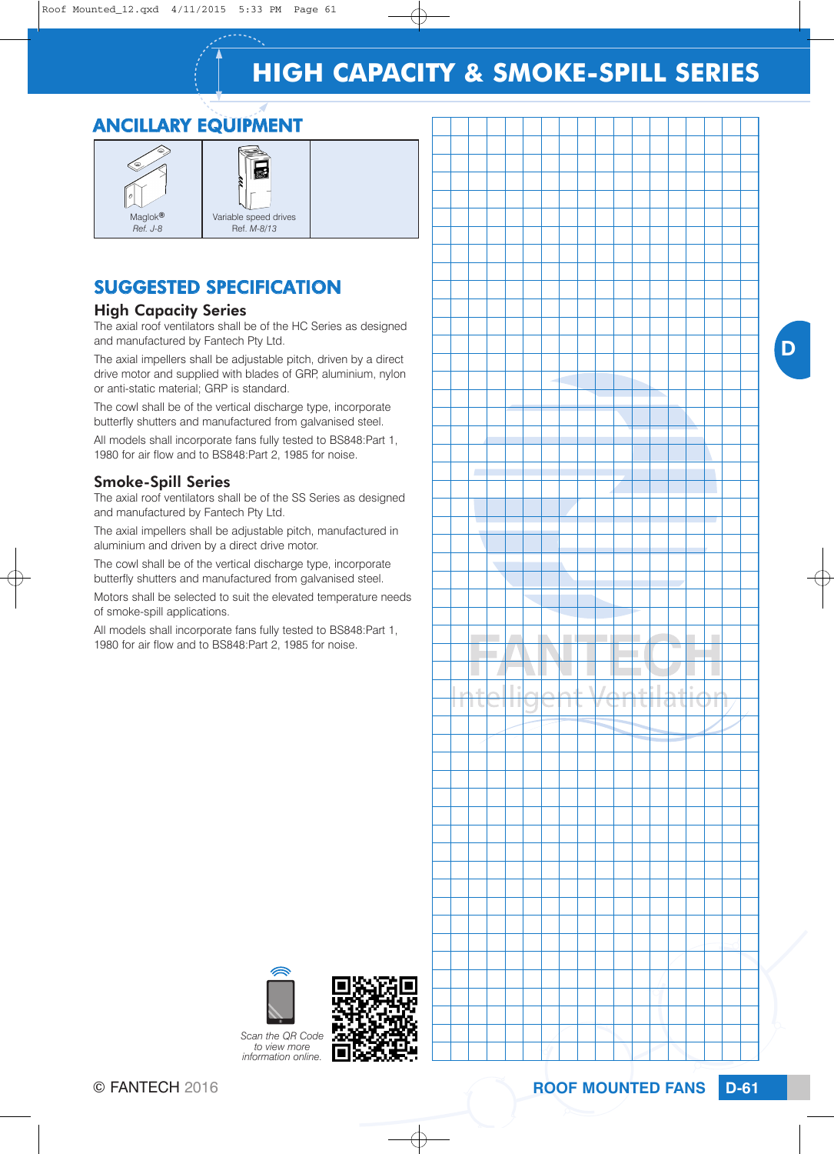# **HIGH CAPACITY & SMOKE-SPILL SERIES**

# ANCILLARY EQUIPMENT



# SUGGESTED SPECIFICATION

#### High Capacity Series

The axial roof ventilators shall be of the HC Series as designed and manufactured by Fantech Pty Ltd.

The axial impellers shall be adjustable pitch, driven by a direct drive motor and supplied with blades of GRP, aluminium, nylon or anti-static material; GRP is standard.

The cowl shall be of the vertical discharge type, incorporate butterfly shutters and manufactured from galvanised steel.

All models shall incorporate fans fully tested to BS848:Part 1, 1980 for air flow and to BS848:Part 2, 1985 for noise.

#### Smoke-Spill Series

The axial roof ventilators shall be of the SS Series as designed and manufactured by Fantech Pty Ltd.

The axial impellers shall be adjustable pitch, manufactured in aluminium and driven by a direct drive motor.

The cowl shall be of the vertical discharge type, incorporate butterfly shutters and manufactured from galvanised steel.

Motors shall be selected to suit the elevated temperature needs of smoke-spill applications.

All models shall incorporate fans fully tested to BS848:Part 1, 1980 for air flow and to BS848:Part 2, 1985 for noise.



D